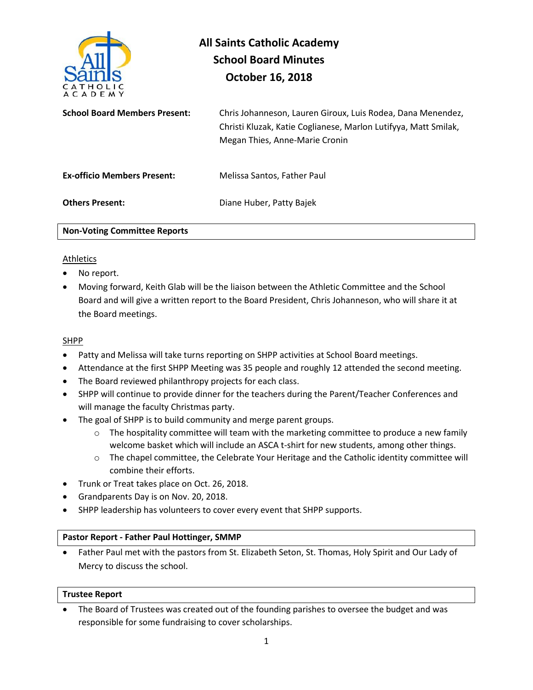

# **All Saints Catholic Academy School Board Minutes October 16, 2018**

| <b>School Board Members Present:</b> | Chris Johanneson, Lauren Giroux, Luis Rodea, Dana Menendez,<br>Christi Kluzak, Katie Coglianese, Marlon Lutifyya, Matt Smilak,<br>Megan Thies, Anne-Marie Cronin |
|--------------------------------------|------------------------------------------------------------------------------------------------------------------------------------------------------------------|
| <b>Ex-officio Members Present:</b>   | Melissa Santos, Father Paul                                                                                                                                      |
| <b>Others Present:</b>               | Diane Huber, Patty Bajek                                                                                                                                         |

**Non-Voting Committee Reports** 

#### Athletics

- No report.
- Moving forward, Keith Glab will be the liaison between the Athletic Committee and the School Board and will give a written report to the Board President, Chris Johanneson, who will share it at the Board meetings.

#### SHPP

- Patty and Melissa will take turns reporting on SHPP activities at School Board meetings.
- Attendance at the first SHPP Meeting was 35 people and roughly 12 attended the second meeting.
- The Board reviewed philanthropy projects for each class.
- SHPP will continue to provide dinner for the teachers during the Parent/Teacher Conferences and will manage the faculty Christmas party.
- The goal of SHPP is to build community and merge parent groups.
	- $\circ$  The hospitality committee will team with the marketing committee to produce a new family welcome basket which will include an ASCA t-shirt for new students, among other things.
	- o The chapel committee, the Celebrate Your Heritage and the Catholic identity committee will combine their efforts.
- Trunk or Treat takes place on Oct. 26, 2018.
- Grandparents Day is on Nov. 20, 2018.
- SHPP leadership has volunteers to cover every event that SHPP supports.

#### **Pastor Report - Father Paul Hottinger, SMMP**

• Father Paul met with the pastors from St. Elizabeth Seton, St. Thomas, Holy Spirit and Our Lady of Mercy to discuss the school.

#### **Trustee Report**

• The Board of Trustees was created out of the founding parishes to oversee the budget and was responsible for some fundraising to cover scholarships.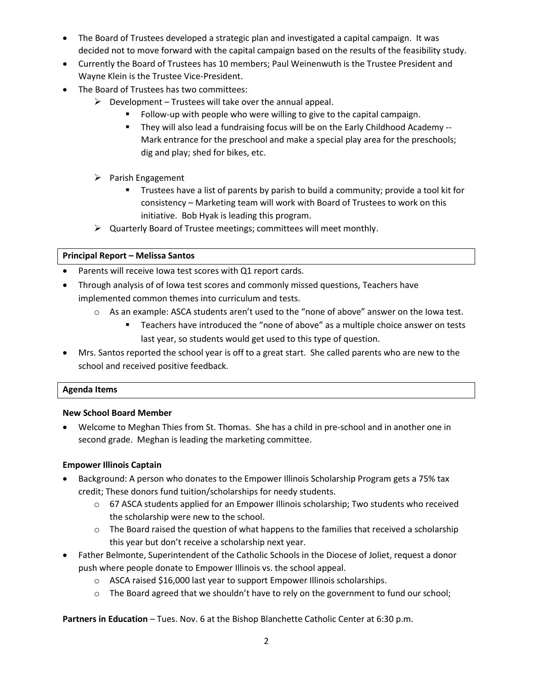- The Board of Trustees developed a strategic plan and investigated a capital campaign. It was decided not to move forward with the capital campaign based on the results of the feasibility study.
- Currently the Board of Trustees has 10 members; Paul Weinenwuth is the Trustee President and Wayne Klein is the Trustee Vice-President.
- The Board of Trustees has two committees:
	- $\triangleright$  Development Trustees will take over the annual appeal.
		- Follow-up with people who were willing to give to the capital campaign.
		- They will also lead a fundraising focus will be on the Early Childhood Academy -- Mark entrance for the preschool and make a special play area for the preschools; dig and play; shed for bikes, etc.
	- ➢ Parish Engagement
		- Trustees have a list of parents by parish to build a community; provide a tool kit for consistency – Marketing team will work with Board of Trustees to work on this initiative. Bob Hyak is leading this program.
	- $\triangleright$  Quarterly Board of Trustee meetings; committees will meet monthly.

# **Principal Report – Melissa Santos**

- Parents will receive Iowa test scores with Q1 report cards.
- Through analysis of of Iowa test scores and commonly missed questions, Teachers have implemented common themes into curriculum and tests.
	- o As an example: ASCA students aren't used to the "none of above" answer on the Iowa test.
		- Teachers have introduced the "none of above" as a multiple choice answer on tests last year, so students would get used to this type of question.
- Mrs. Santos reported the school year is off to a great start. She called parents who are new to the school and received positive feedback.

# **Agenda Items**

# **New School Board Member**

• Welcome to Meghan Thies from St. Thomas. She has a child in pre-school and in another one in second grade. Meghan is leading the marketing committee.

# **Empower Illinois Captain**

- Background: A person who donates to the Empower Illinois Scholarship Program gets a 75% tax credit; These donors fund tuition/scholarships for needy students.
	- $\circ$  67 ASCA students applied for an Empower Illinois scholarship; Two students who received the scholarship were new to the school.
	- $\circ$  The Board raised the question of what happens to the families that received a scholarship this year but don't receive a scholarship next year.
- Father Belmonte, Superintendent of the Catholic Schools in the Diocese of Joliet, request a donor push where people donate to Empower Illinois vs. the school appeal.
	- o ASCA raised \$16,000 last year to support Empower Illinois scholarships.
	- $\circ$  The Board agreed that we shouldn't have to rely on the government to fund our school;

**Partners in Education – Tues. Nov. 6 at the Bishop Blanchette Catholic Center at 6:30 p.m.**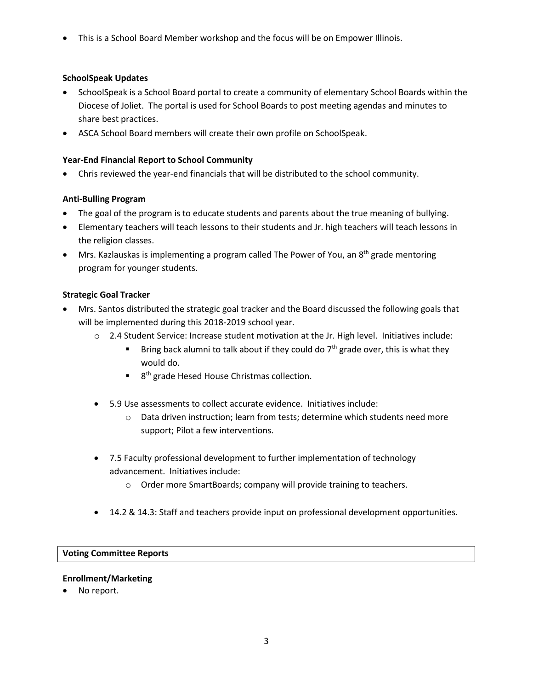• This is a School Board Member workshop and the focus will be on Empower Illinois.

## **SchoolSpeak Updates**

- SchoolSpeak is a School Board portal to create a community of elementary School Boards within the Diocese of Joliet. The portal is used for School Boards to post meeting agendas and minutes to share best practices.
- ASCA School Board members will create their own profile on SchoolSpeak.

## **Year-End Financial Report to School Community**

• Chris reviewed the year-end financials that will be distributed to the school community.

# **Anti-Bulling Program**

- The goal of the program is to educate students and parents about the true meaning of bullying.
- Elementary teachers will teach lessons to their students and Jr. high teachers will teach lessons in the religion classes.
- Mrs. Kazlauskas is implementing a program called The Power of You, an  $8<sup>th</sup>$  grade mentoring program for younger students.

# **Strategic Goal Tracker**

- Mrs. Santos distributed the strategic goal tracker and the Board discussed the following goals that will be implemented during this 2018-2019 school year.
	- $\circ$  2.4 Student Service: Increase student motivation at the Jr. High level. Initiatives include:
		- Bring back alumni to talk about if they could do  $7<sup>th</sup>$  grade over, this is what they would do.
		- 8<sup>th</sup> grade Hesed House Christmas collection.
	- 5.9 Use assessments to collect accurate evidence. Initiatives include:
		- o Data driven instruction; learn from tests; determine which students need more support; Pilot a few interventions.
	- 7.5 Faculty professional development to further implementation of technology advancement. Initiatives include:
		- o Order more SmartBoards; company will provide training to teachers.
	- 14.2 & 14.3: Staff and teachers provide input on professional development opportunities.

#### **Voting Committee Reports**

#### **Enrollment/Marketing**

No report.